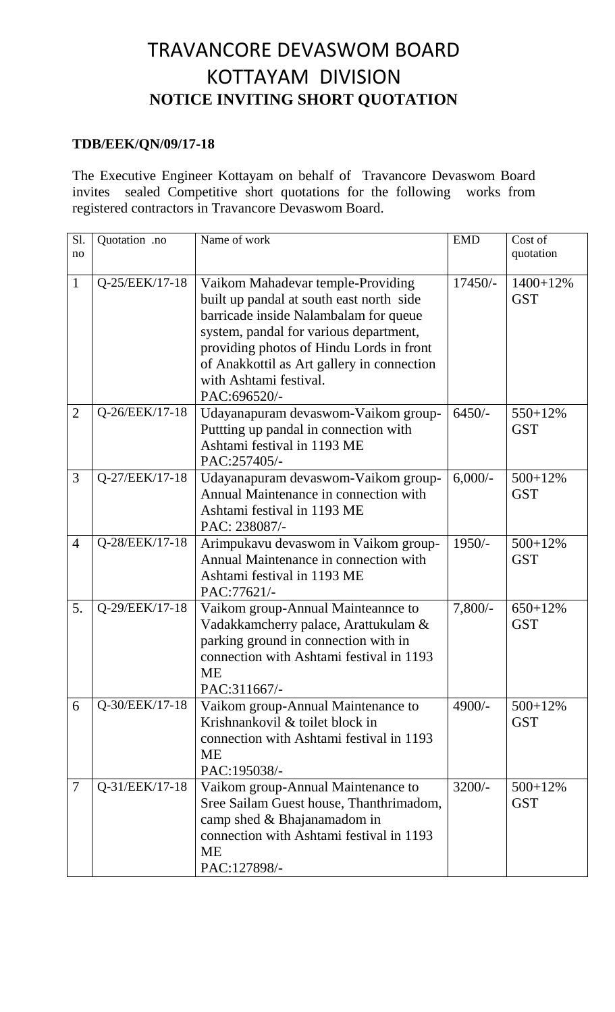## TRAVANCORE DEVASWOM BOARD KOTTAYAM DIVISION **NOTICE INVITING SHORT QUOTATION**

## **TDB/EEK/QN/09/17-18**

The Executive Engineer Kottayam on behalf of Travancore Devaswom Board invites sealed Competitive short quotations for the following works from registered contractors in Travancore Devaswom Board.

| Sl.<br>no      | Quotation .no  | Name of work                                                                                                                                                                                                                                                    | <b>EMD</b> | Cost of<br>quotation       |
|----------------|----------------|-----------------------------------------------------------------------------------------------------------------------------------------------------------------------------------------------------------------------------------------------------------------|------------|----------------------------|
| $\mathbf{1}$   | Q-25/EEK/17-18 | Vaikom Mahadevar temple-Providing                                                                                                                                                                                                                               | $17450/-$  | $1400 + 12%$               |
|                |                | built up pandal at south east north side<br>barricade inside Nalambalam for queue<br>system, pandal for various department,<br>providing photos of Hindu Lords in front<br>of Anakkottil as Art gallery in connection<br>with Ashtami festival.<br>PAC:696520/- |            | <b>GST</b>                 |
| $\overline{2}$ | Q-26/EEK/17-18 | Udayanapuram devaswom-Vaikom group-<br>Puttting up pandal in connection with                                                                                                                                                                                    | $6450/-$   | 550+12%<br><b>GST</b>      |
|                |                | Ashtami festival in 1193 ME<br>PAC:257405/-                                                                                                                                                                                                                     |            |                            |
| 3              | Q-27/EEK/17-18 | Udayanapuram devaswom-Vaikom group-<br>Annual Maintenance in connection with<br>Ashtami festival in 1193 ME<br>PAC: 238087/-                                                                                                                                    | $6,000/-$  | 500+12%<br><b>GST</b>      |
| $\overline{4}$ | Q-28/EEK/17-18 | Arimpukavu devaswom in Vaikom group-<br>Annual Maintenance in connection with<br>Ashtami festival in 1193 ME<br>PAC:77621/-                                                                                                                                     | 1950/-     | $500 + 12\%$<br><b>GST</b> |
| 5.             | Q-29/EEK/17-18 | Vaikom group-Annual Mainteannce to<br>Vadakkamcherry palace, Arattukulam &<br>parking ground in connection with in<br>connection with Ashtami festival in 1193<br><b>ME</b><br>PAC:311667/-                                                                     | $7,800/-$  | $650 + 12\%$<br><b>GST</b> |
| 6              | Q-30/EEK/17-18 | Vaikom group-Annual Maintenance to<br>Krishnankovil & toilet block in<br>connection with Ashtami festival in 1193<br><b>ME</b><br>PAC:195038/-                                                                                                                  | $4900/-$   | $500+12%$<br><b>GST</b>    |
| 7              | Q-31/EEK/17-18 | Vaikom group-Annual Maintenance to<br>Sree Sailam Guest house, Thanthrimadom,<br>camp shed & Bhajanamadom in<br>connection with Ashtami festival in 1193<br><b>ME</b><br>PAC:127898/-                                                                           | $3200/-$   | $500+12%$<br><b>GST</b>    |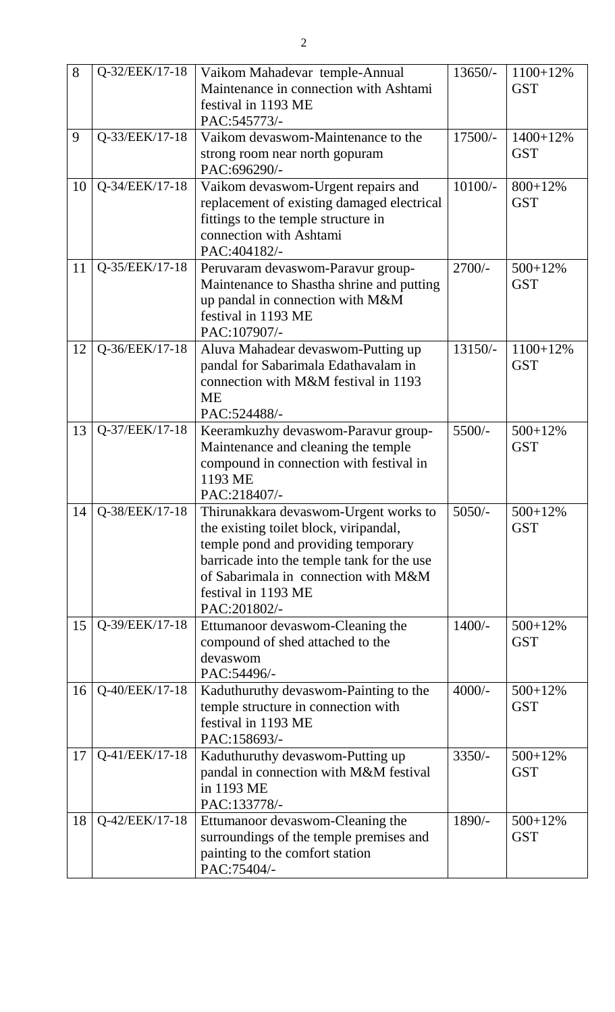| 8               | Q-32/EEK/17-18 | Vaikom Mahadevar temple-Annual<br>Maintenance in connection with Ashtami<br>festival in 1193 ME<br>PAC:545773/-                                                                                                                                                 | 13650/-   | 1100+12%<br><b>GST</b>     |
|-----------------|----------------|-----------------------------------------------------------------------------------------------------------------------------------------------------------------------------------------------------------------------------------------------------------------|-----------|----------------------------|
| 9               | Q-33/EEK/17-18 | Vaikom devaswom-Maintenance to the<br>17500/-<br>strong room near north gopuram<br>PAC:696290/-                                                                                                                                                                 |           | $1400 + 12%$<br><b>GST</b> |
| 10              | Q-34/EEK/17-18 | Vaikom devaswom-Urgent repairs and<br>replacement of existing damaged electrical<br>fittings to the temple structure in<br>connection with Ashtami<br>PAC:404182/-                                                                                              | $10100/-$ | $800 + 12\%$<br><b>GST</b> |
| 11              | Q-35/EEK/17-18 | Peruvaram devaswom-Paravur group-<br>$2700/-$<br>Maintenance to Shastha shrine and putting<br>up pandal in connection with M&M<br>festival in 1193 ME<br>PAC:107907/-                                                                                           |           | $500+12%$<br><b>GST</b>    |
| 12              | Q-36/EEK/17-18 | Aluva Mahadear devaswom-Putting up<br>pandal for Sabarimala Edathavalam in<br>connection with M&M festival in 1193<br><b>ME</b><br>PAC:524488/-                                                                                                                 | $13150/-$ | 1100+12%<br><b>GST</b>     |
| 13              | Q-37/EEK/17-18 | Keeramkuzhy devaswom-Paravur group-<br>$5500/-$<br>Maintenance and cleaning the temple<br>compound in connection with festival in<br>1193 ME<br>PAC:218407/-                                                                                                    |           | 500+12%<br><b>GST</b>      |
| 14 <sup>1</sup> | Q-38/EEK/17-18 | $5050/-$<br>Thirunakkara devaswom-Urgent works to<br>the existing toilet block, viripandal,<br>temple pond and providing temporary<br>barricade into the temple tank for the use<br>of Sabarimala in connection with M&M<br>festival in 1193 ME<br>PAC:201802/- |           | $500+12%$<br><b>GST</b>    |
| 15              | Q-39/EEK/17-18 | $1400/-$<br>Ettumanoor devaswom-Cleaning the<br>compound of shed attached to the<br>devaswom<br>PAC:54496/-                                                                                                                                                     |           | $500+12%$<br><b>GST</b>    |
| 16              | Q-40/EEK/17-18 | Kaduthuruthy devaswom-Painting to the<br>$4000/-$<br>temple structure in connection with<br>festival in 1193 ME<br>PAC:158693/-                                                                                                                                 |           | $500+12%$<br><b>GST</b>    |
| 17              | Q-41/EEK/17-18 | Kaduthuruthy devaswom-Putting up<br>$3350/-$<br>pandal in connection with M&M festival<br>in 1193 ME<br>PAC:133778/-                                                                                                                                            |           | $500 + 12\%$<br><b>GST</b> |
| 18              | Q-42/EEK/17-18 | Ettumanoor devaswom-Cleaning the<br>surroundings of the temple premises and<br>painting to the comfort station<br>PAC:75404/-                                                                                                                                   | 1890/-    | $500+12%$<br><b>GST</b>    |